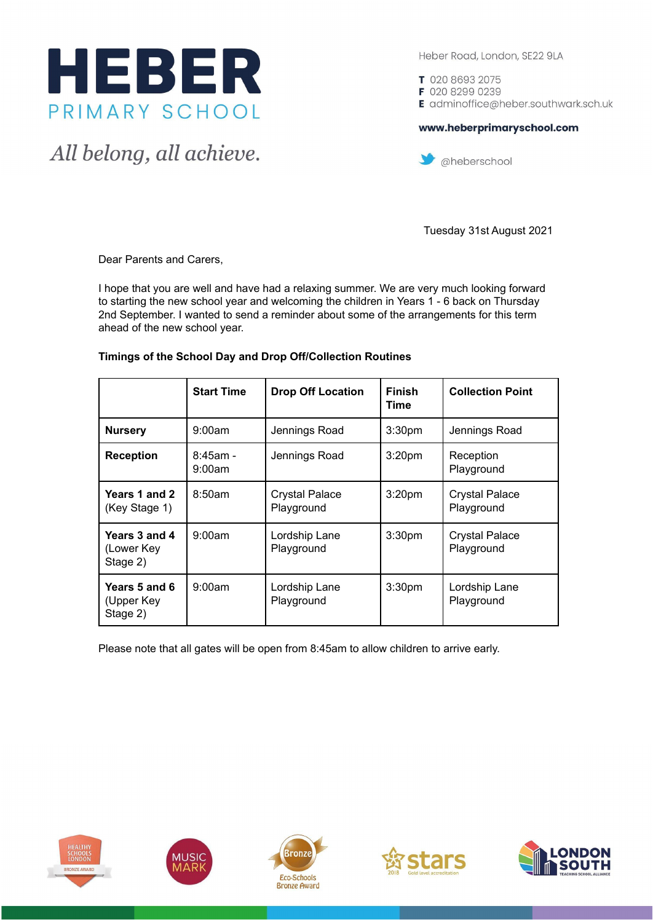

All belong, all achieve.

Heber Road, London, SE22 9LA

T 020 8693 2075 F 020 8299 0239 E adminoffice@heber.southwark.sch.uk

## www.heberprimaryschool.com



Tuesday 31st August 2021

Dear Parents and Carers,

I hope that you are well and have had a relaxing summer. We are very much looking forward to starting the new school year and welcoming the children in Years 1 - 6 back on Thursday 2nd September. I wanted to send a reminder about some of the arrangements for this term ahead of the new school year.

|                                         | <b>Start Time</b>     | <b>Drop Off Location</b>            | <b>Finish</b><br>Time | <b>Collection Point</b>             |
|-----------------------------------------|-----------------------|-------------------------------------|-----------------------|-------------------------------------|
| <b>Nursery</b>                          | 9:00am                | Jennings Road                       | 3:30 <sub>pm</sub>    | Jennings Road                       |
| <b>Reception</b>                        | $8:45$ am -<br>9:00am | Jennings Road                       | 3:20 <sub>pm</sub>    | Reception<br>Playground             |
| Years 1 and 2<br>(Key Stage 1)          | 8:50am                | <b>Crystal Palace</b><br>Playground | 3:20 <sub>pm</sub>    | <b>Crystal Palace</b><br>Playground |
| Years 3 and 4<br>(Lower Key<br>Stage 2) | 9:00am                | Lordship Lane<br>Playground         | 3:30 <sub>pm</sub>    | <b>Crystal Palace</b><br>Playground |
| Years 5 and 6<br>(Upper Key<br>Stage 2) | 9:00am                | Lordship Lane<br>Playground         | 3:30 <sub>pm</sub>    | Lordship Lane<br>Playground         |

### **Timings of the School Day and Drop Off/Collection Routines**

Please note that all gates will be open from 8:45am to allow children to arrive early.









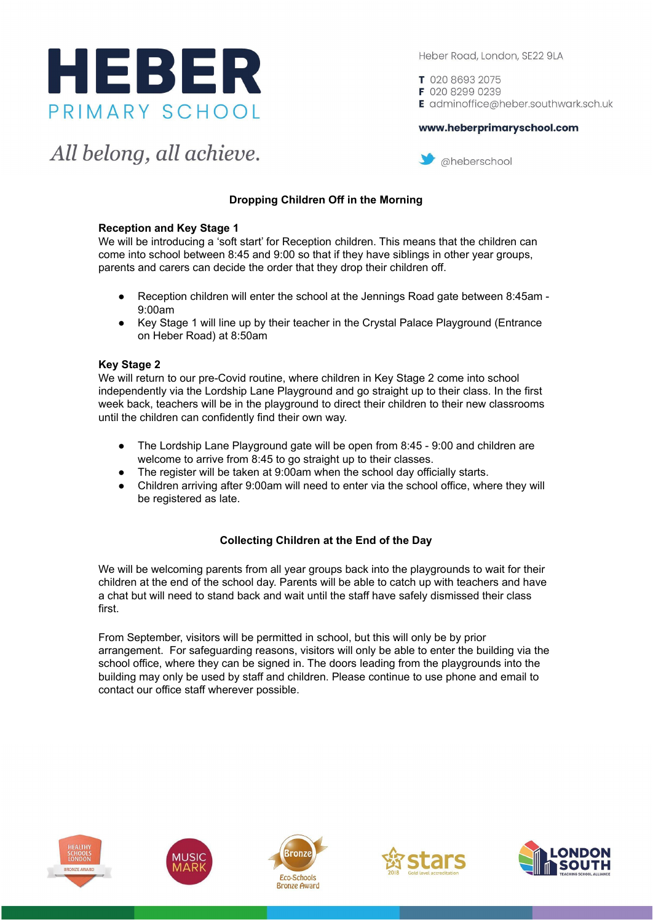

Heber Road, London, SE22 9LA

T 020 8693 2075 F 020 8299 0239 E adminoffice@heber.southwark.sch.uk

#### www.heberprimaryschool.com

All belong, all achieve.



# **Dropping Children Off in the Morning**

### **Reception and Key Stage 1**

We will be introducing a 'soft start' for Reception children. This means that the children can come into school between 8:45 and 9:00 so that if they have siblings in other year groups, parents and carers can decide the order that they drop their children off.

- Reception children will enter the school at the Jennings Road gate between 8:45am -9:00am
- Key Stage 1 will line up by their teacher in the Crystal Palace Playground (Entrance on Heber Road) at 8:50am

### **Key Stage 2**

We will return to our pre-Covid routine, where children in Key Stage 2 come into school independently via the Lordship Lane Playground and go straight up to their class. In the first week back, teachers will be in the playground to direct their children to their new classrooms until the children can confidently find their own way.

- The Lordship Lane Playground gate will be open from 8:45 9:00 and children are welcome to arrive from 8:45 to go straight up to their classes.
- The register will be taken at 9:00am when the school day officially starts.
- Children arriving after 9:00am will need to enter via the school office, where they will be registered as late.

## **Collecting Children at the End of the Day**

We will be welcoming parents from all year groups back into the playgrounds to wait for their children at the end of the school day. Parents will be able to catch up with teachers and have a chat but will need to stand back and wait until the staff have safely dismissed their class first.

From September, visitors will be permitted in school, but this will only be by prior arrangement. For safeguarding reasons, visitors will only be able to enter the building via the school office, where they can be signed in. The doors leading from the playgrounds into the building may only be used by staff and children. Please continue to use phone and email to contact our office staff wherever possible.